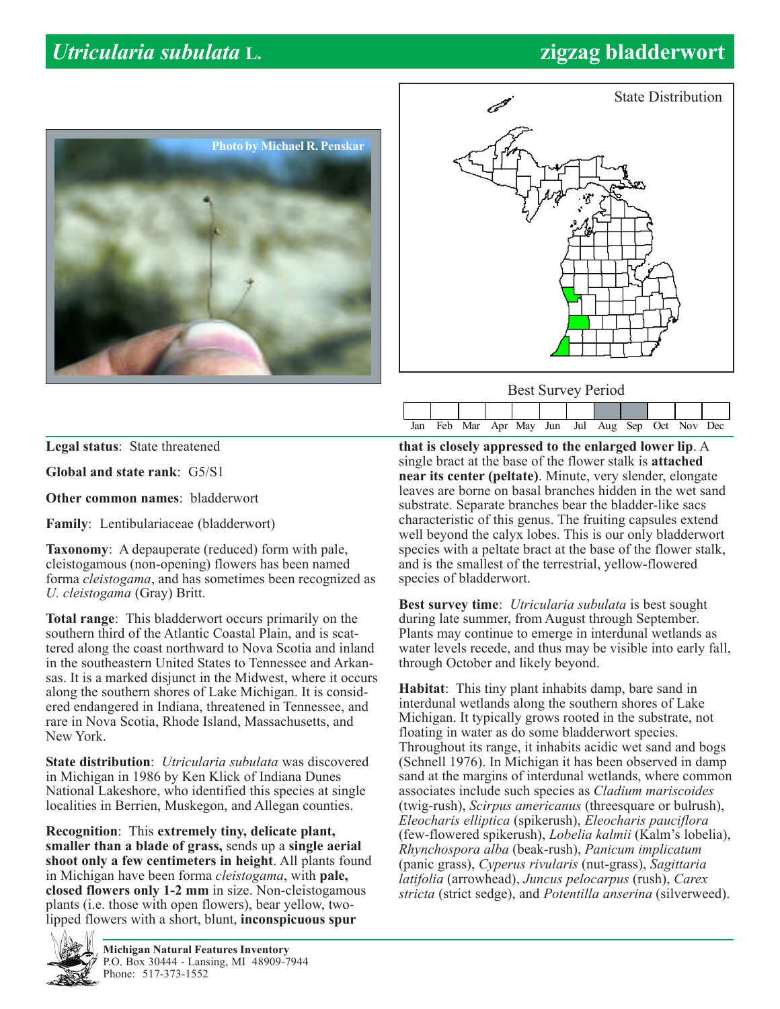## *Utricularia subulata* **L. zigzag bladderwort**





Best Survey Period

Jan Feb Mar Apr May Jun Jul Aug Sep Oct Nov Dec

|  | Legal status: State threatened |
|--|--------------------------------|

**Global and state rank**: G5/S1

**Other common names**: bladderwort

**Family**: Lentibulariaceae (bladderwort)

**Taxonomy**: A depauperate (reduced) form with pale, cleistogamous (non-opening) flowers has been named forma *cleistogama*, and has sometimes been recognized as *U. cleistogama* (Gray) Britt.

**Total range**: This bladderwort occurs primarily on the southern third of the Atlantic Coastal Plain, and is scattered along the coast northward to Nova Scotia and inland in the southeastern United States to Tennessee and Arkansas. It is a marked disjunct in the Midwest, where it occurs along the southern shores of Lake Michigan. It is considered endangered in Indiana, threatened in Tennessee, and rare in Nova Scotia, Rhode Island, Massachusetts, and New York.

**State distribution**: *Utricularia subulata* was discovered in Michigan in 1986 by Ken Klick of Indiana Dunes National Lakeshore, who identified this species at single localities in Berrien, Muskegon, and Allegan counties.

**Recognition**: This **extremely tiny, delicate plant, smaller than a blade of grass,** sends up a **single aerial shoot only a few centimeters in height**. All plants found in Michigan have been forma *cleistogama*, with **pale, closed flowers only 1-2 mm** in size. Non-cleistogamous plants (i.e. those with open flowers), bear yellow, twolipped flowers with a short, blunt, **inconspicuous spur**



**Michigan Natural Features Inventory** P.O. Box 30444 - Lansing, MI 48909-7944 Phone: 517-373-1552

**that is closely appressed to the enlarged lower lip**. A single bract at the base of the flower stalk is **attached near its center (peltate)**. Minute, very slender, elongate leaves are borne on basal branches hidden in the wet sand substrate. Separate branches bear the bladder-like sacs characteristic of this genus. The fruiting capsules extend well beyond the calyx lobes. This is our only bladderwort species with a peltate bract at the base of the flower stalk, and is the smallest of the terrestrial, yellow-flowered species of bladderwort.

**Best survey time**: *Utricularia subulata* is best sought during late summer, from August through September. Plants may continue to emerge in interdunal wetlands as water levels recede, and thus may be visible into early fall, through October and likely beyond.

**Habitat**: This tiny plant inhabits damp, bare sand in interdunal wetlands along the southern shores of Lake Michigan. It typically grows rooted in the substrate, not floating in water as do some bladderwort species. Throughout its range, it inhabits acidic wet sand and bogs (Schnell 1976). In Michigan it has been observed in damp sand at the margins of interdunal wetlands, where common associates include such species as *Cladium mariscoides* (twig-rush), *Scirpus americanus* (threesquare or bulrush), *Eleocharis elliptica* (spikerush), *Eleocharis pauciflora* (few-flowered spikerush), *Lobelia kalmii* (Kalm's lobelia), *Rhynchospora alba* (beak-rush), *Panicum implicatum* (panic grass), *Cyperus rivularis* (nut-grass), *Sagittaria latifolia* (arrowhead), *Juncus pelocarpus* (rush), *Carex stricta* (strict sedge), and *Potentilla anserina* (silverweed).